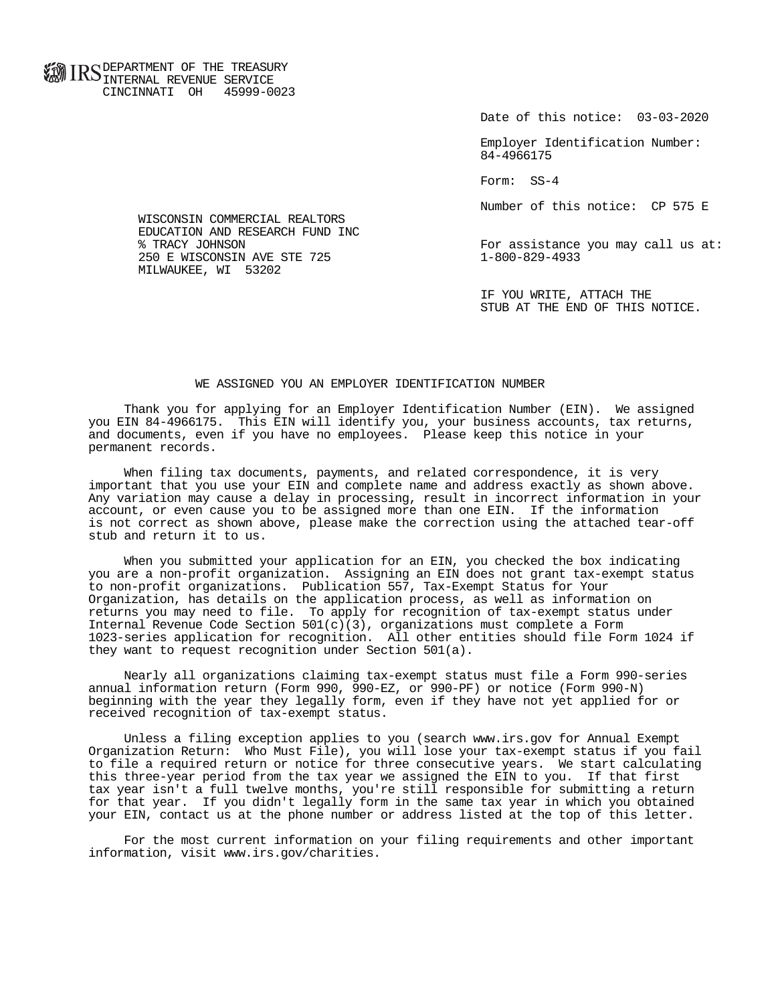**FOR ID C** DEPARTMENT OF THE TREASURY **WWW IIND** INTERNAL REVENUE SERVICE CINCINNATI OH 45999-0023

Date of this notice: 03-03-2020

 Employer Identification Number: 84-4966175

Form: SS-4

Number of this notice: CP 575 E

For assistance you may call us at:<br>1-800-829-4933

 IF YOU WRITE, ATTACH THE STUB AT THE END OF THIS NOTICE.

## WE ASSIGNED YOU AN EMPLOYER IDENTIFICATION NUMBER

 Thank you for applying for an Employer Identification Number (EIN). We assigned you EIN 84-4966175. This EIN will identify you, your business accounts, tax returns, and documents, even if you have no employees. Please keep this notice in your permanent records.

 When filing tax documents, payments, and related correspondence, it is very important that you use your EIN and complete name and address exactly as shown above. Any variation may cause a delay in processing, result in incorrect information in your account, or even cause you to be assigned more than one EIN. If the information is not correct as shown above, please make the correction using the attached tear-off stub and return it to us.

 When you submitted your application for an EIN, you checked the box indicating you are a non-profit organization. Assigning an EIN does not grant tax-exempt status to non-profit organizations. Publication 557, Tax-Exempt Status for Your Organization, has details on the application process, as well as information on returns you may need to file. To apply for recognition of tax-exempt status under Internal Revenue Code Section  $501(c)(3)$ , organizations must complete a Form 1023-series application for recognition. All other entities should file Form 1024 if they want to request recognition under Section 501(a).

 Nearly all organizations claiming tax-exempt status must file a Form 990-series annual information return (Form 990, 990-EZ, or 990-PF) or notice (Form 990-N) beginning with the year they legally form, even if they have not yet applied for or received recognition of tax-exempt status.

 Unless a filing exception applies to you (search www.irs.gov for Annual Exempt Organization Return: Who Must File), you will lose your tax-exempt status if you fail to file a required return or notice for three consecutive years. We start calculating this three-year period from the tax year we assigned the EIN to you. If that first tax year isn't a full twelve months, you're still responsible for submitting a return for that year. If you didn't legally form in the same tax year in which you obtained your EIN, contact us at the phone number or address listed at the top of this letter.

 For the most current information on your filing requirements and other important information, visit www.irs.gov/charities.

 WISCONSIN COMMERCIAL REALTORS EDUCATION AND RESEARCH FUND INC<br>% TRACY JOHNSON 250 E WISCONSIN AVE STE 725 MILWAUKEE, WI 53202